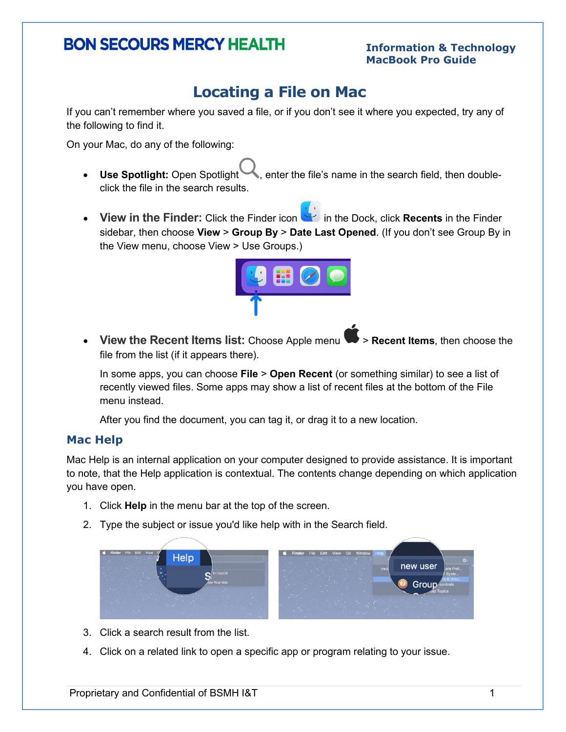# **BON SECOURS MERCY HEALTH**

**Information & Technology MacBook Pro Guide**

## **Locating a File on Mac**

If you can't remember where you saved a file, or if you don't see it where you expected, try any of the following to find it.

On your Mac, do any of the following:

- **Use Spotlight:** Open Spotlight , enter the file's name in the search field, then doubleclick the file in the search results.
- **View in the Finder:** Click the Finder icon **in the Dock, click Recents** in the Finder sidebar, then choose **View** > **Group By** > **Date Last Opened**. (If you don't see Group By in the View menu, choose View > Use Groups.)



• **View the Recent Items list:** Choose Apple menu  $\blacktriangleright$  > **Recent Items**, then choose the file from the list (if it appears there).

In some apps, you can choose **File** > **Open Recent** (or something similar) to see a list of recently viewed files. Some apps may show a list of recent files at the bottom of the File menu instead.

After you find the document, you can tag it, or drag it to a new location.

#### **Mac Help**

Mac Help is an internal application on your computer designed to provide assistance. It is important to note, that the Help application is contextual. The contents change depending on which application you have open.

- 1. Click **Help** in the menu bar at the top of the screen.
- 2. Type the subject or issue you'd like help with in the Search field.



- 3. Click a search result from the list.
- 4. Click on a related link to open a specific app or program relating to your issue.